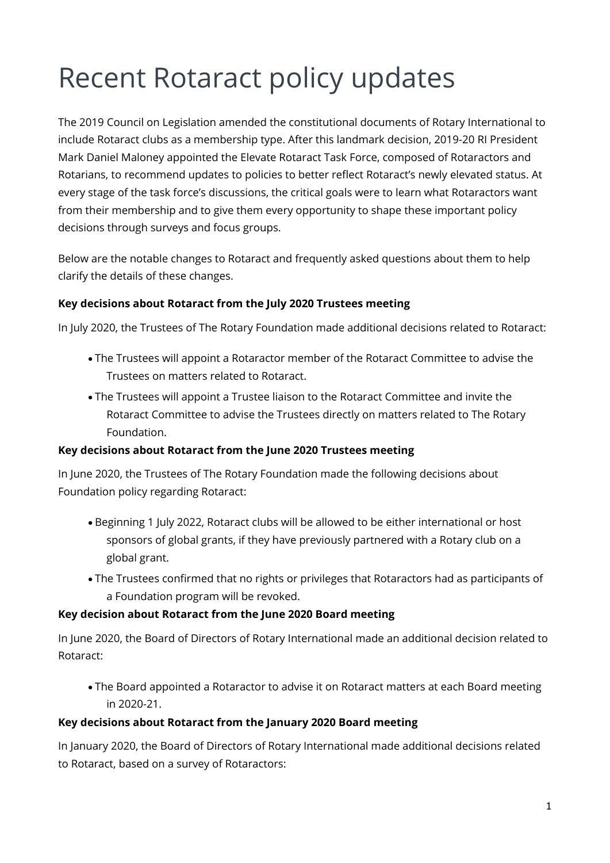# Recent Rotaract policy updates

The 2019 Council on Legislation amended the constitutional documents of Rotary International to include Rotaract clubs as a membership type. After this landmark decision, 2019-20 RI President Mark Daniel Maloney appointed the Elevate Rotaract Task Force, composed of Rotaractors and Rotarians, to recommend updates to policies to better reflect Rotaract's newly elevated status. At every stage of the task force's discussions, the critical goals were to learn what Rotaractors want from their membership and to give them every opportunity to shape these important policy decisions through surveys and focus groups.

Below are the notable changes to Rotaract and frequently asked questions about them to help clarify the details of these changes.

## **Key decisions about Rotaract from the July 2020 Trustees meeting**

In July 2020, the Trustees of The Rotary Foundation made additional decisions related to Rotaract:

- The Trustees will appoint a Rotaractor member of the Rotaract Committee to advise the Trustees on matters related to Rotaract.
- The Trustees will appoint a Trustee liaison to the Rotaract Committee and invite the Rotaract Committee to advise the Trustees directly on matters related to The Rotary Foundation.

## **Key decisions about Rotaract from the June 2020 Trustees meeting**

In June 2020, the Trustees of The Rotary Foundation made the following decisions about Foundation policy regarding Rotaract:

- Beginning 1 July 2022, Rotaract clubs will be allowed to be either international or host sponsors of global grants, if they have previously partnered with a Rotary club on a global grant.
- The Trustees confirmed that no rights or privileges that Rotaractors had as participants of a Foundation program will be revoked.

## **Key decision about Rotaract from the June 2020 Board meeting**

In June 2020, the Board of Directors of Rotary International made an additional decision related to Rotaract:

• The Board appointed a Rotaractor to advise it on Rotaract matters at each Board meeting in 2020-21.

## **Key decisions about Rotaract from the January 2020 Board meeting**

In January 2020, the Board of Directors of Rotary International made additional decisions related to Rotaract, based on a survey of Rotaractors: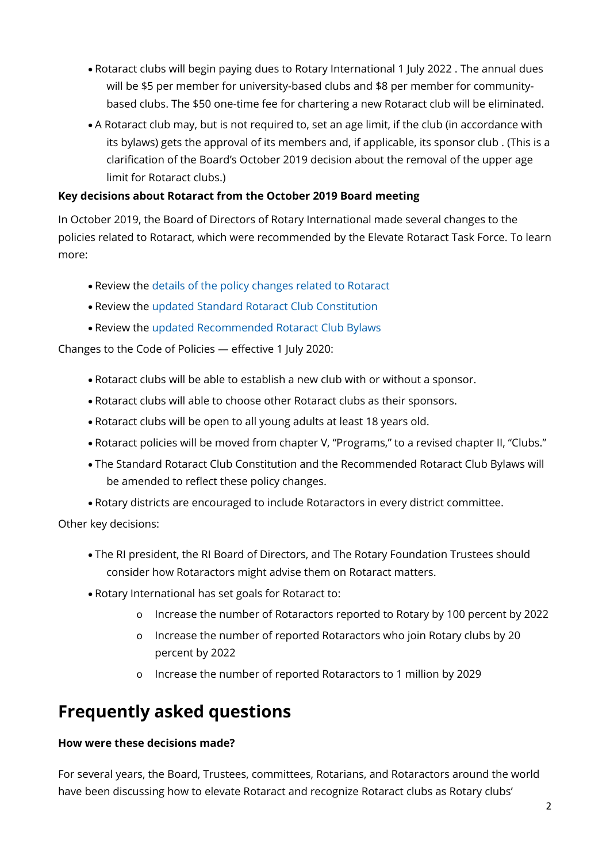- Rotaract clubs will begin paying dues to Rotary International 1 July 2022 . The annual dues will be \$5 per member for university-based clubs and \$8 per member for communitybased clubs. The \$50 one-time fee for chartering a new Rotaract club will be eliminated.
- A Rotaract club may, but is not required to, set an age limit, if the club (in accordance with its bylaws) gets the approval of its members and, if applicable, its sponsor club . (This is a clarification of the Board's October 2019 decision about the removal of the upper age limit for Rotaract clubs.)

## **Key decisions about Rotaract from the October 2019 Board meeting**

In October 2019, the Board of Directors of Rotary International made several changes to the policies related to Rotaract, which were recommended by the Elevate Rotaract Task Force. To learn more:

- Review the [details of the policy changes related to Rotaract](https://my-cms.rotary.org/en/document/changes-rotary-code-policies-elevate-rotaract)
- Review the [updated Standard Rotaract Club Constitution](https://my-cms.rotary.org/en/document/standard-rotaract-club-constitution-effect-1-july-2020)
- Review the [updated Recommended Rotaract Club Bylaws](https://my-cms.rotary.org/en/document/recommended-rotaract-club-bylaws-effect-after-1-july-2020)

Changes to the Code of Policies — effective 1 July 2020:

- Rotaract clubs will be able to establish a new club with or without a sponsor.
- Rotaract clubs will able to choose other Rotaract clubs as their sponsors.
- Rotaract clubs will be open to all young adults at least 18 years old.
- Rotaract policies will be moved from chapter V, "Programs," to a revised chapter II, "Clubs."
- The Standard Rotaract Club Constitution and the Recommended Rotaract Club Bylaws will be amended to reflect these policy changes.
- Rotary districts are encouraged to include Rotaractors in every district committee.

Other key decisions:

- The RI president, the RI Board of Directors, and The Rotary Foundation Trustees should consider how Rotaractors might advise them on Rotaract matters.
- Rotary International has set goals for Rotaract to:
	- o Increase the number of Rotaractors reported to Rotary by 100 percent by 2022
	- o Increase the number of reported Rotaractors who join Rotary clubs by 20 percent by 2022
	- o Increase the number of reported Rotaractors to 1 million by 2029

## **Frequently asked questions**

## **How were these decisions made?**

For several years, the Board, Trustees, committees, Rotarians, and Rotaractors around the world have been discussing how to elevate Rotaract and recognize Rotaract clubs as Rotary clubs'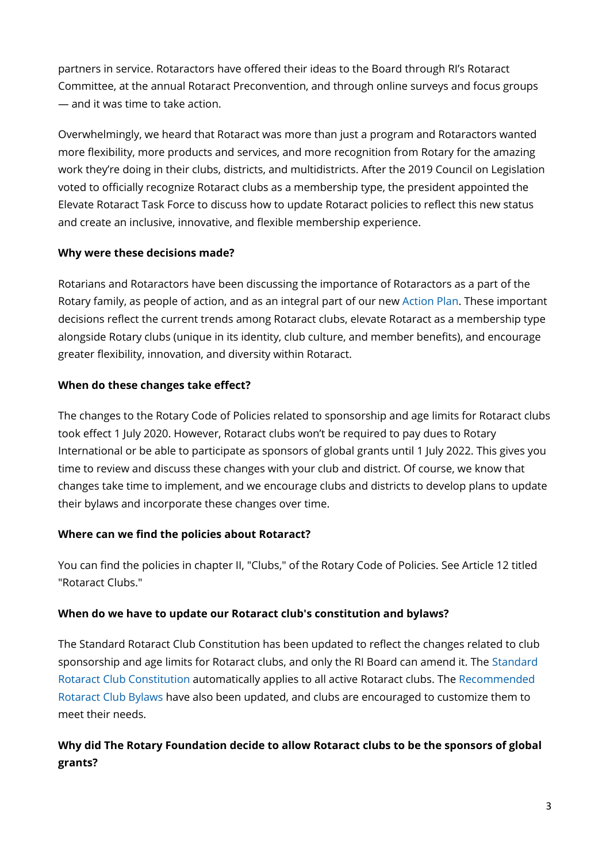partners in service. Rotaractors have offered their ideas to the Board through RI's Rotaract Committee, at the annual Rotaract Preconvention, and through online surveys and focus groups — and it was time to take action.

Overwhelmingly, we heard that Rotaract was more than just a program and Rotaractors wanted more flexibility, more products and services, and more recognition from Rotary for the amazing work they're doing in their clubs, districts, and multidistricts. After the 2019 Council on Legislation voted to officially recognize Rotaract clubs as a membership type, the president appointed the Elevate Rotaract Task Force to discuss how to update Rotaract policies to reflect this new status and create an inclusive, innovative, and flexible membership experience.

## **Why were these decisions made?**

Rotarians and Rotaractors have been discussing the importance of Rotaractors as a part of the Rotary family, as people of action, and as an integral part of our new [Action Plan.](https://my-cms.rotary.org/en/learning-reference/about-rotary/strategic-plan?embed=true) These important decisions reflect the current trends among Rotaract clubs, elevate Rotaract as a membership type alongside Rotary clubs (unique in its identity, club culture, and member benefits), and encourage greater flexibility, innovation, and diversity within Rotaract.

## **When do these changes take effect?**

The changes to the Rotary Code of Policies related to sponsorship and age limits for Rotaract clubs took effect 1 July 2020. However, Rotaract clubs won't be required to pay dues to Rotary International or be able to participate as sponsors of global grants until 1 July 2022. This gives you time to review and discuss these changes with your club and district. Of course, we know that changes take time to implement, and we encourage clubs and districts to develop plans to update their bylaws and incorporate these changes over time.

## **Where can we find the policies about Rotaract?**

You can find the policies in chapter II, "Clubs," of the Rotary Code of Policies. See Article 12 titled "Rotaract Clubs."

## **When do we have to update our Rotaract club's constitution and bylaws?**

The Standard Rotaract Club Constitution has been updated to reflect the changes related to club sponsorship and age limits for Rotaract clubs, and only the RI Board can amend it. The [Standard](https://my-cms.rotary.org/en/document/standard-rotaract-club-constitution)  [Rotaract Club Constitution](https://my-cms.rotary.org/en/document/standard-rotaract-club-constitution) automatically applies to all active Rotaract clubs. The [Recommended](https://my-cms.rotary.org/en/document/recommended-rotaract-club-bylaws)  [Rotaract Club Bylaws](https://my-cms.rotary.org/en/document/recommended-rotaract-club-bylaws) have also been updated, and clubs are encouraged to customize them to meet their needs.

## **Why did The Rotary Foundation decide to allow Rotaract clubs to be the sponsors of global grants?**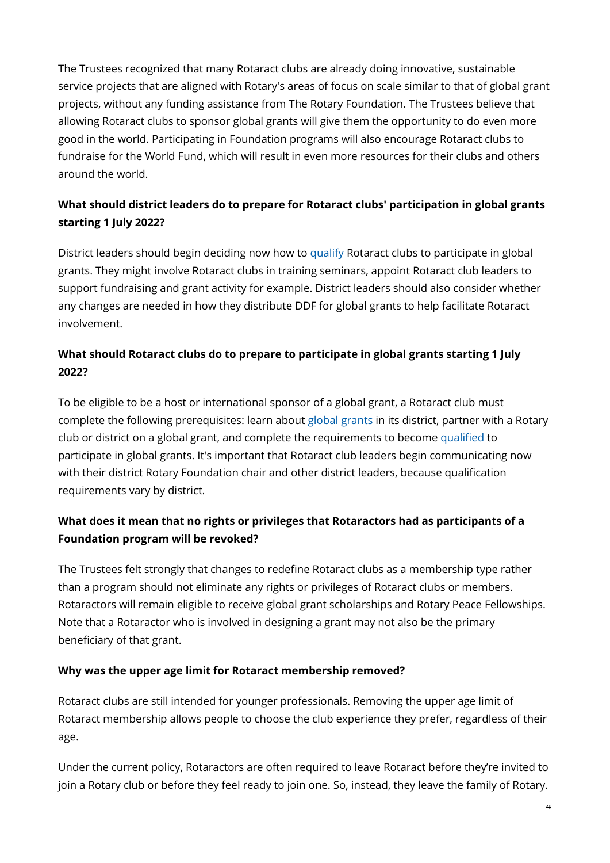The Trustees recognized that many Rotaract clubs are already doing innovative, sustainable service projects that are aligned with Rotary's areas of focus on scale similar to that of global grant projects, without any funding assistance from The Rotary Foundation. The Trustees believe that allowing Rotaract clubs to sponsor global grants will give them the opportunity to do even more good in the world. Participating in Foundation programs will also encourage Rotaract clubs to fundraise for the World Fund, which will result in even more resources for their clubs and others around the world.

## **What should district leaders do to prepare for Rotaract clubs' participation in global grants starting 1 July 2022?**

District leaders should begin deciding now how to [qualify](https://my-cms.rotary.org/en/take-action/apply-grants/qualification?embed=true) Rotaract clubs to participate in global grants. They might involve Rotaract clubs in training seminars, appoint Rotaract club leaders to support fundraising and grant activity for example. District leaders should also consider whether any changes are needed in how they distribute DDF for global grants to help facilitate Rotaract involvement.

## **What should Rotaract clubs do to prepare to participate in global grants starting 1 July 2022?**

To be eligible to be a host or international sponsor of a global grant, a Rotaract club must complete the following prerequisites: learn about [global grants](https://my-cms.rotary.org/en/document/guide-global-grants) in its district, partner with a Rotary club or district on a global grant, and complete the requirements to become [qualified](https://my-cms.rotary.org/en/take-action/apply-grants/qualification?embed=true) to participate in global grants. It's important that Rotaract club leaders begin communicating now with their district Rotary Foundation chair and other district leaders, because qualification requirements vary by district.

## **What does it mean that no rights or privileges that Rotaractors had as participants of a Foundation program will be revoked?**

The Trustees felt strongly that changes to redefine Rotaract clubs as a membership type rather than a program should not eliminate any rights or privileges of Rotaract clubs or members. Rotaractors will remain eligible to receive global grant scholarships and Rotary Peace Fellowships. Note that a Rotaractor who is involved in designing a grant may not also be the primary beneficiary of that grant.

## **Why was the upper age limit for Rotaract membership removed?**

Rotaract clubs are still intended for younger professionals. Removing the upper age limit of Rotaract membership allows people to choose the club experience they prefer, regardless of their age.

Under the current policy, Rotaractors are often required to leave Rotaract before they're invited to join a Rotary club or before they feel ready to join one. So, instead, they leave the family of Rotary.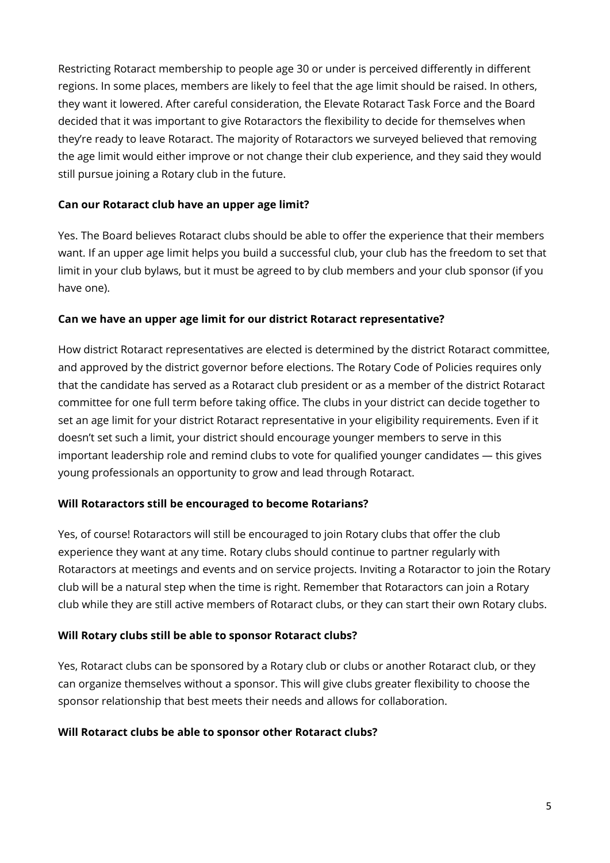Restricting Rotaract membership to people age 30 or under is perceived differently in different regions. In some places, members are likely to feel that the age limit should be raised. In others, they want it lowered. After careful consideration, the Elevate Rotaract Task Force and the Board decided that it was important to give Rotaractors the flexibility to decide for themselves when they're ready to leave Rotaract. The majority of Rotaractors we surveyed believed that removing the age limit would either improve or not change their club experience, and they said they would still pursue joining a Rotary club in the future.

## **Can our Rotaract club have an upper age limit?**

Yes. The Board believes Rotaract clubs should be able to offer the experience that their members want. If an upper age limit helps you build a successful club, your club has the freedom to set that limit in your club bylaws, but it must be agreed to by club members and your club sponsor (if you have one).

## **Can we have an upper age limit for our district Rotaract representative?**

How district Rotaract representatives are elected is determined by the district Rotaract committee, and approved by the district governor before elections. The Rotary Code of Policies requires only that the candidate has served as a Rotaract club president or as a member of the district Rotaract committee for one full term before taking office. The clubs in your district can decide together to set an age limit for your district Rotaract representative in your eligibility requirements. Even if it doesn't set such a limit, your district should encourage younger members to serve in this important leadership role and remind clubs to vote for qualified younger candidates — this gives young professionals an opportunity to grow and lead through Rotaract.

## **Will Rotaractors still be encouraged to become Rotarians?**

Yes, of course! Rotaractors will still be encouraged to join Rotary clubs that offer the club experience they want at any time. Rotary clubs should continue to partner regularly with Rotaractors at meetings and events and on service projects. Inviting a Rotaractor to join the Rotary club will be a natural step when the time is right. Remember that Rotaractors can join a Rotary club while they are still active members of Rotaract clubs, or they can start their own Rotary clubs.

## **Will Rotary clubs still be able to sponsor Rotaract clubs?**

Yes, Rotaract clubs can be sponsored by a Rotary club or clubs or another Rotaract club, or they can organize themselves without a sponsor. This will give clubs greater flexibility to choose the sponsor relationship that best meets their needs and allows for collaboration.

## **Will Rotaract clubs be able to sponsor other Rotaract clubs?**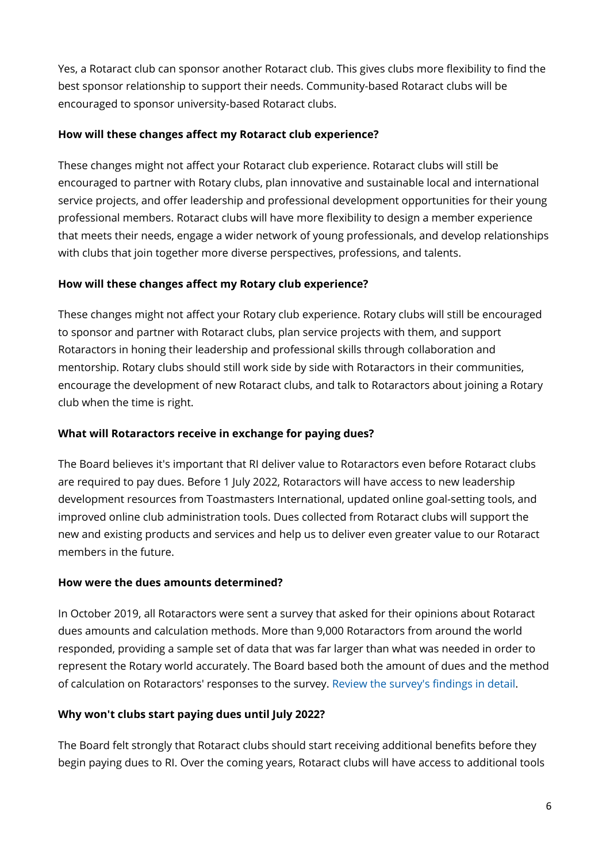Yes, a Rotaract club can sponsor another Rotaract club. This gives clubs more flexibility to find the best sponsor relationship to support their needs. Community-based Rotaract clubs will be encouraged to sponsor university-based Rotaract clubs.

## **How will these changes affect my Rotaract club experience?**

These changes might not affect your Rotaract club experience. Rotaract clubs will still be encouraged to partner with Rotary clubs, plan innovative and sustainable local and international service projects, and offer leadership and professional development opportunities for their young professional members. Rotaract clubs will have more flexibility to design a member experience that meets their needs, engage a wider network of young professionals, and develop relationships with clubs that join together more diverse perspectives, professions, and talents.

## **How will these changes affect my Rotary club experience?**

These changes might not affect your Rotary club experience. Rotary clubs will still be encouraged to sponsor and partner with Rotaract clubs, plan service projects with them, and support Rotaractors in honing their leadership and professional skills through collaboration and mentorship. Rotary clubs should still work side by side with Rotaractors in their communities, encourage the development of new Rotaract clubs, and talk to Rotaractors about joining a Rotary club when the time is right.

## **What will Rotaractors receive in exchange for paying dues?**

The Board believes it's important that RI deliver value to Rotaractors even before Rotaract clubs are required to pay dues. Before 1 July 2022, Rotaractors will have access to new leadership development resources from Toastmasters International, updated online goal-setting tools, and improved online club administration tools. Dues collected from Rotaract clubs will support the new and existing products and services and help us to deliver even greater value to our Rotaract members in the future.

## **How were the dues amounts determined?**

In October 2019, all Rotaractors were sent a survey that asked for their opinions about Rotaract dues amounts and calculation methods. More than 9,000 Rotaractors from around the world responded, providing a sample set of data that was far larger than what was needed in order to represent the Rotary world accurately. The Board based both the amount of dues and the method of calculation on Rotaractors' responses to the survey. [Review the survey's findings in detail.](https://my-cms.rotary.org/en/document/rotaract-dues-survey-findings-overview)

## **Why won't clubs start paying dues until July 2022?**

The Board felt strongly that Rotaract clubs should start receiving additional benefits before they begin paying dues to RI. Over the coming years, Rotaract clubs will have access to additional tools